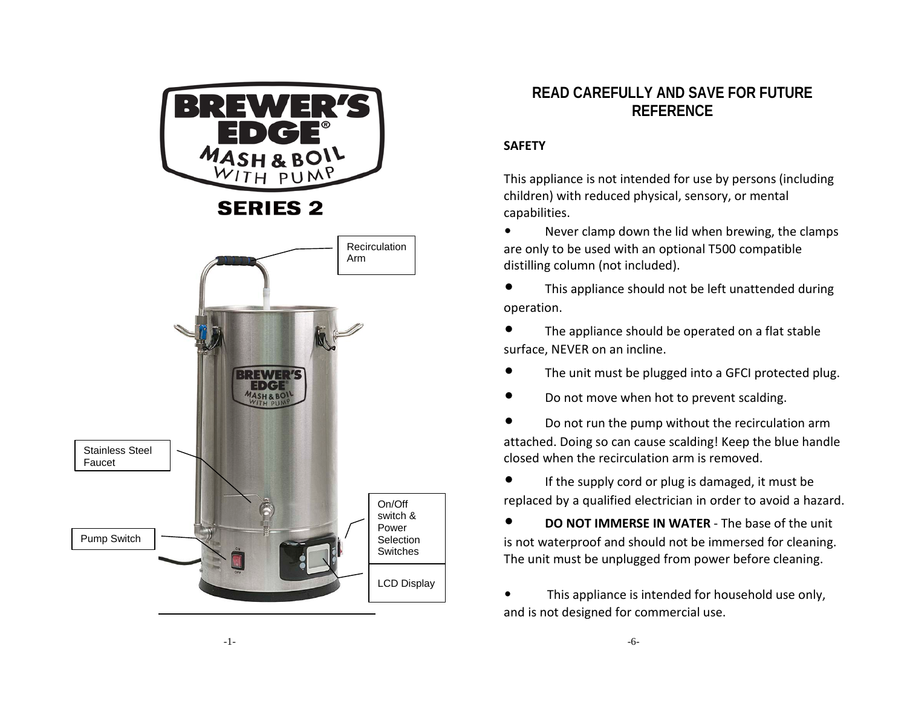

# **READ CAREFULLY AND SAVE FOR FUTURE**<br>REFERENCE **REFERENCE**

## **SAFETY**

This appliance is not intended for use by persons (including children) with reduced physical, sensory, or mental capabilities.

• Never clamp down the lid when brewing, the clamps are only to be used with an optional T500 compatible distilling column (not included).

• This appliance should not be left unattended during operation.

The appliance should be operated on a flat stable surface, NEVER on an incline.

- The unit must be plugged into a GFCI protected plug.
- Do not move when hot to prevent scalding.

• Do not run the pump without the recirculation arm attached. Doing so can cause scalding! Keep the blue handle closed when the recirculation arm is removed.

If the supply cord or plug is damaged, it must be replaced by a qualified electrician in order to avoid a hazard.

• **DO NOT IMMERSE IN WATER** - The base of the unit is not waterproof and should not be immersed for cleaning. The unit must be unplugged from power before cleaning.

This appliance is intended for household use only, and is not designed for commercial use.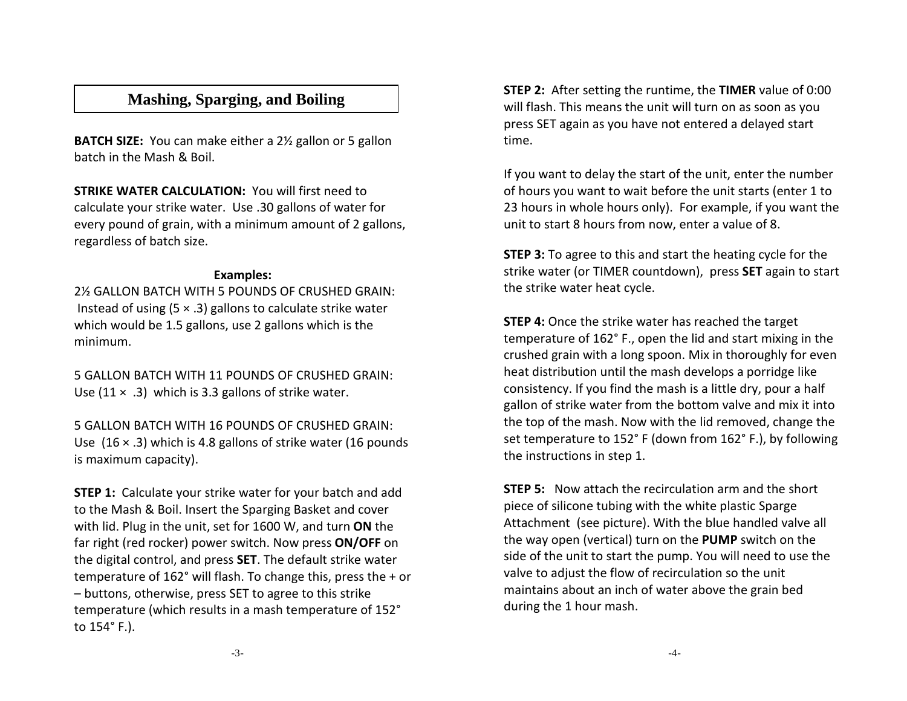## **Mashing, Sparging, and Boiling**

**BATCH SIZE:** You can make either a 2½ gallon or 5 gallon batch in the Mash & Boil.

**STRIKE WATER CALCULATION:** You will first need to calculate your strike water. Use .30 gallons of water for every pound of grain, with a minimum amount of 2 gallons, regardless of batch size.

#### **Examples:**

2½ GALLON BATCH WITH 5 POUNDS OF CRUSHED GRAIN: Instead of using  $(5 \times .3)$  gallons to calculate strike water which would be 1.5 gallons, use 2 gallons which is the minimum.

5 GALLON BATCH WITH 11 POUNDS OF CRUSHED GRAIN: Use  $(11 \times .3)$  which is 3.3 gallons of strike water.

5 GALLON BATCH WITH 16 POUNDS OF CRUSHED GRAIN: Use  $(16 \times .3)$  which is 4.8 gallons of strike water (16 pounds is maximum capacity).

**STEP 1:** Calculate your strike water for your batch and add to the Mash & Boil. Insert the Sparging Basket and cover with lid. Plug in the unit, set for 1600 W, and turn **ON** the far right (red rocker) power switch. Now press **ON/OFF** on the digital control, and press **SET**. The default strike water temperature of 162° will flash. To change this, press the + or – buttons, otherwise, press SET to agree to this strike temperature (which results in a mash temperature of 152° to 154° F.).

**STEP 2:** After setting the runtime, the **TIMER** value of 0:00 will flash. This means the unit will turn on as soon as you press SET again as you have not entered a delayed start time.

If you want to delay the start of the unit, enter the number of hours you want to wait before the unit starts (enter 1 to 23 hours in whole hours only). For example, if you want the unit to start 8 hours from now, enter a value of 8.

**STEP 3:** To agree to this and start the heating cycle for the strike water (or TIMER countdown), press **SET** again to start the strike water heat cycle.

**STEP 4:** Once the strike water has reached the target temperature of 162° F., open the lid and start mixing in the crushed grain with a long spoon. Mix in thoroughly for even heat distribution until the mash develops a porridge like consistency. If you find the mash is a little dry, pour a half gallon of strike water from the bottom valve and mix it into the top of the mash. Now with the lid removed, change the set temperature to 152° F (down from 162° F.), by following the instructions in step 1.

**STEP 5:** Now attach the recirculation arm and the short piece of silicone tubing with the white plastic Sparge Attachment (see picture). With the blue handled valve all the way open (vertical) turn on the **PUMP** switch on the side of the unit to start the pump. You will need to use the valve to adjust the flow of recirculation so the unit maintains about an inch of water above the grain bed during the 1 hour mash.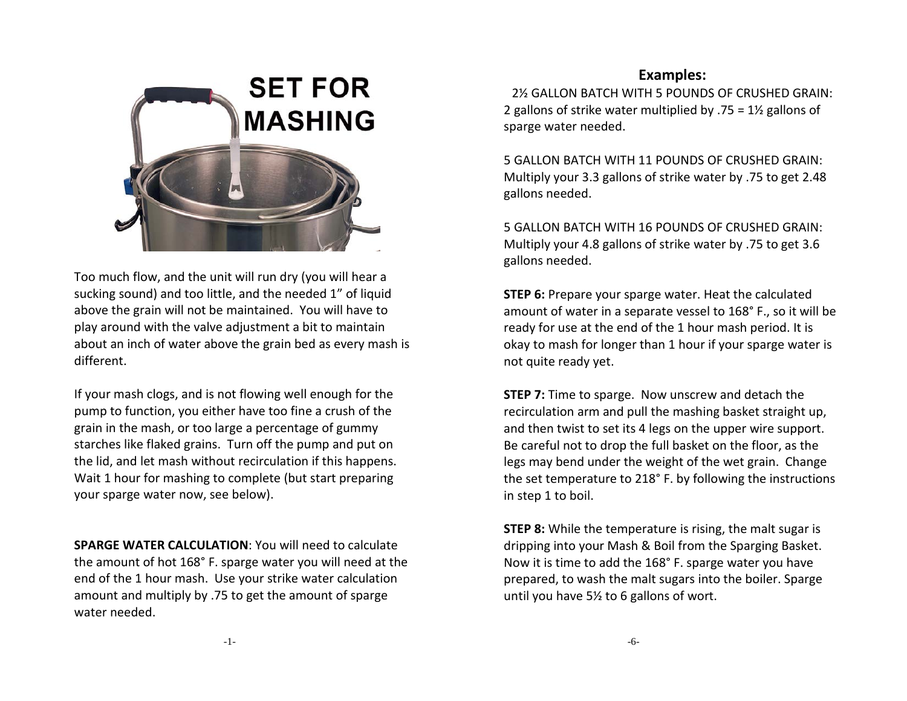

Too much flow, and the unit will run dry (you will hear a sucking sound) and too little, and the needed 1" of liquid above the grain will not be maintained. You will have to play around with the valve adjustment a bit to maintain about an inch of water above the grain bed as every mash is different.

If your mash clogs, and is not flowing well enough for the pump to function, you either have too fine a crush of the grain in the mash, or too large a percentage of gummy starches like flaked grains. Turn off the pump and put on the lid, and let mash without recirculation if this happens. Wait 1 hour for mashing to complete (but start preparing your sparge water now, see below).

**SPARGE WATER CALCULATION**: You will need to calculate the amount of hot 168° F. sparge water you will need at the end of the 1 hour mash. Use your strike water calculation amount and multiply by .75 to get the amount of sparge water needed.

## **Examples:**

2½ GALLON BATCH WITH 5 POUNDS OF CRUSHED GRAIN: 2 gallons of strike water multiplied by  $.75 = 1\frac{1}{2}$  gallons of sparge water needed.

5 GALLON BATCH WITH 11 POUNDS OF CRUSHED GRAIN: Multiply your 3.3 gallons of strike water by .75 to get 2.48 gallons needed.

5 GALLON BATCH WITH 16 POUNDS OF CRUSHED GRAIN: Multiply your 4.8 gallons of strike water by .75 to get 3.6 gallons needed.

**STEP 6:** Prepare your sparge water. Heat the calculated amount of water in a separate vessel to 168° F., so it will be ready for use at the end of the 1 hour mash period. It is okay to mash for longer than 1 hour if your sparge water is not quite ready yet.

**STEP 7:** Time to sparge. Now unscrew and detach the recirculation arm and pull the mashing basket straight up, and then twist to set its 4 legs on the upper wire support. Be careful not to drop the full basket on the floor, as the legs may bend under the weight of the wet grain. Change the set temperature to 218° F. by following the instructions in step 1 to boil.

**STEP 8:** While the temperature is rising, the malt sugar is dripping into your Mash & Boil from the Sparging Basket. Now it is time to add the 168° F. sparge water you have prepared, to wash the malt sugars into the boiler. Sparge until you have 5½ to 6 gallons of wort.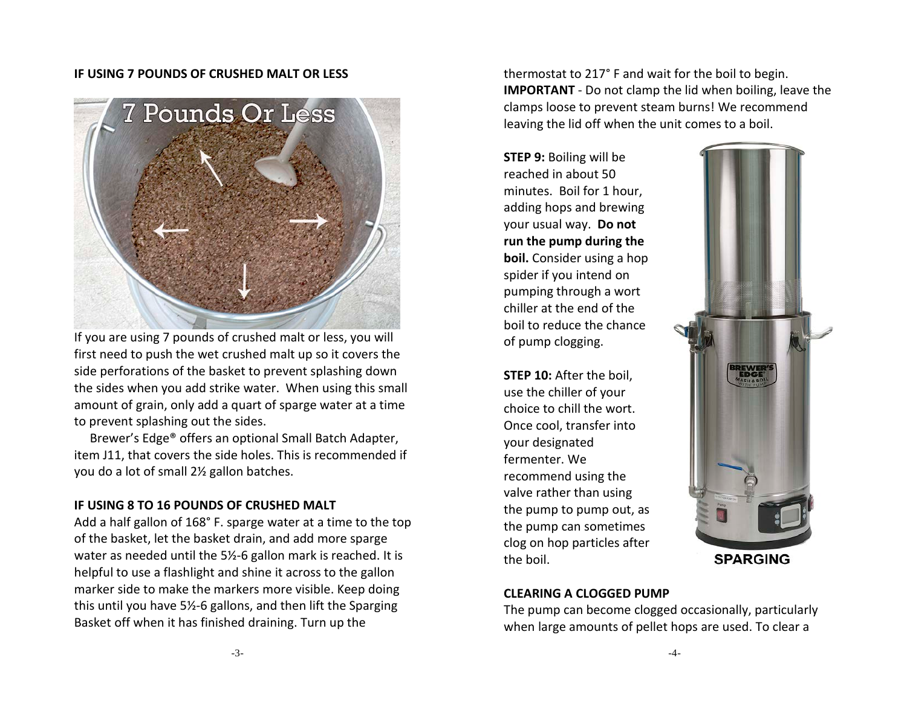#### **IF USING 7 POUNDS OF CRUSHED MALT OR LESS**



If you are using 7 pounds of crushed malt or less, you will first need to push the wet crushed malt up so it covers the side perforations of the basket to prevent splashing down the sides when you add strike water. When using this small amount of grain, only add a quart of sparge water at a time to prevent splashing out the sides.

 Brewer's Edge® offers an optional Small Batch Adapter, item J11, that covers the side holes. This is recommended if you do a lot of small 2½ gallon batches.

#### **IF USING 8 TO 16 POUNDS OF CRUSHED MALT**

Add a half gallon of 168° F. sparge water at a time to the top of the basket, let the basket drain, and add more sparge water as needed until the 5½-6 gallon mark is reached. It is helpful to use a flashlight and shine it across to the gallon marker side to make the markers more visible. Keep doing this until you have 5½-6 gallons, and then lift the Sparging Basket off when it has finished draining. Turn up the

thermostat to 217° F and wait for the boil to begin. **IMPORTANT** - Do not clamp the lid when boiling, leave the clamps loose to prevent steam burns! We recommend leaving the lid off when the unit comes to a boil.

**STEP 9:** Boiling will be reached in about 50 minutes. Boil for 1 hour, adding hops and brewing your usual way. **Do not run the pump during the boil.** Consider using a hop spider if you intend on pumping through a wort chiller at the end of the boil to reduce the chance of pump clogging.

**STEP 10:** After the boil, use the chiller of your choice to chill the wort. Once cool, transfer into your designated fermenter. We recommend using the valve rather than using the pump to pump out, as the pump can sometimes clog on hop particles after the boil.



#### **CLEARING A CLOGGED PUMP**

The pump can become clogged occasionally, particularly when large amounts of pellet hops are used. To clear a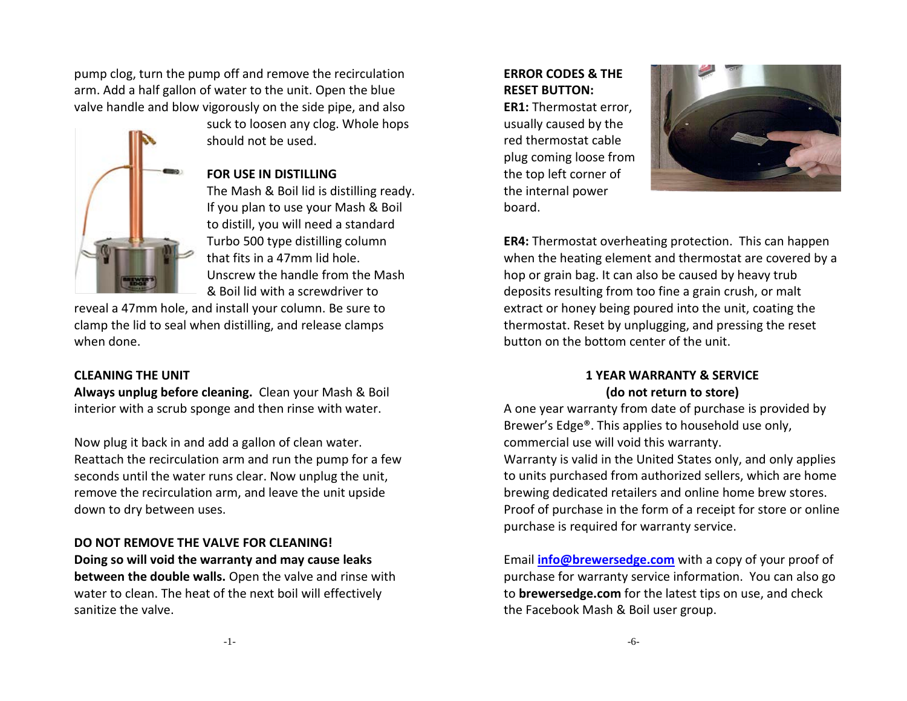pump clog, turn the pump off and remove the recirculation arm. Add a half gallon of water to the unit. Open the blue valve handle and blow vigorously on the side pipe, and also

#### **FOR USE IN DISTILLING**

should not be used.

The Mash & Boil lid is distilling ready. If you plan to use your Mash & Boil to distill, you will need a standard Turbo 500 type distilling column that fits in a 47mm lid hole. Unscrew the handle from the Mash & Boil lid with a screwdriver to

suck to loosen any clog. Whole hops

reveal a 47mm hole, and install your column. Be sure to clamp the lid to seal when distilling, and release clamps when done.

#### **CLEANING THE UNIT**

**Always unplug before cleaning.** Clean your Mash & Boil interior with a scrub sponge and then rinse with water.

Now plug it back in and add a gallon of clean water. Reattach the recirculation arm and run the pump for a few seconds until the water runs clear. Now unplug the unit, remove the recirculation arm, and leave the unit upside down to dry between uses.

### **DO NOT REMOVE THE VALVE FOR CLEANING!**

**Doing so will void the warranty and may cause leaks between the double walls.** Open the valve and rinse with water to clean. The heat of the next boil will effectively sanitize the valve.

## **ERROR CODES & THE RESET BUTTON:**

**ER1:** Thermostat error, usually caused by the red thermostat cable plug coming loose from the top left corner of the internal power board.



**ER4:** Thermostat overheating protection. This can happen when the heating element and thermostat are covered by a hop or grain bag. It can also be caused by heavy trub deposits resulting from too fine a grain crush, or malt extract or honey being poured into the unit, coating the thermostat. Reset by unplugging, and pressing the reset button on the bottom center of the unit.

#### **1 YEAR WARRANTY & SERVICE (do not return to store)**

A one year warranty from date of purchase is provided by Brewer's Edge®. This applies to household use only, commercial use will void this warranty.

Warranty is valid in the United States only, and only applies to units purchased from authorized sellers, which are home brewing dedicated retailers and online home brew stores. Proof of purchase in the form of a receipt for store or online purchase is required for warranty service.

Email **[info@brewersedge.com](mailto:info@brewersedge.com)** with a copy of your proof of purchase for warranty service information. You can also go to **brewersedge.com** for the latest tips on use, and check the Facebook Mash & Boil user group.